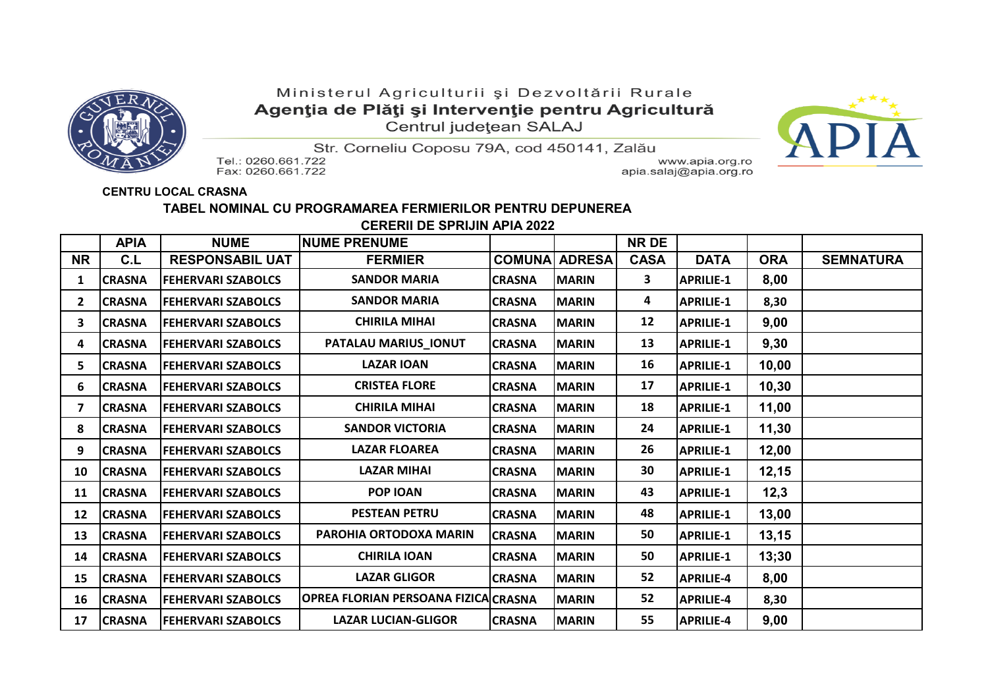

## Ministerul Agriculturii și Dezvoltării Rurale Agenția de Plăți și Intervenție pentru Agricultură Centrul județean SALAJ



Str. Corneliu Coposu 79A, cod 450141, Zalău

Tel.: 0260.661.722 Fax: 0260.661.722

www.apia.org.ro apia.salaj@apia.org.ro

## **CENTRU LOCAL CRASNA**

## **TABEL NOMINAL CU PROGRAMAREA FERMIERILOR PENTRU DEPUNEREA**

 **CERERII DE SPRIJIN APIA 2022**

|                | <b>APIA</b>   | <b>NUME</b>               | <b>NUME PRENUME</b>                  |               |                      | NR DE       |                  |            |                  |
|----------------|---------------|---------------------------|--------------------------------------|---------------|----------------------|-------------|------------------|------------|------------------|
| <b>NR</b>      | C.L           | <b>RESPONSABIL UAT</b>    | <b>FERMIER</b>                       |               | <b>COMUNA ADRESA</b> | <b>CASA</b> | <b>DATA</b>      | <b>ORA</b> | <b>SEMNATURA</b> |
| 1              | <b>CRASNA</b> | <b>FEHERVARI SZABOLCS</b> | <b>SANDOR MARIA</b>                  | <b>CRASNA</b> | <b>MARIN</b>         | 3           | <b>APRILIE-1</b> | 8,00       |                  |
| $\overline{2}$ | <b>CRASNA</b> | <b>FEHERVARI SZABOLCS</b> | <b>SANDOR MARIA</b>                  | <b>CRASNA</b> | <b>MARIN</b>         | 4           | <b>APRILIE-1</b> | 8,30       |                  |
| 3              | <b>CRASNA</b> | <b>FEHERVARI SZABOLCS</b> | <b>CHIRILA MIHAI</b>                 | <b>CRASNA</b> | <b>MARIN</b>         | 12          | <b>APRILIE-1</b> | 9,00       |                  |
| 4              | <b>CRASNA</b> | <b>FEHERVARI SZABOLCS</b> | PATALAU MARIUS_IONUT                 | <b>CRASNA</b> | <b>MARIN</b>         | 13          | <b>APRILIE-1</b> | 9,30       |                  |
| 5              | <b>CRASNA</b> | <b>FEHERVARI SZABOLCS</b> | <b>LAZAR IOAN</b>                    | <b>CRASNA</b> | <b>MARIN</b>         | 16          | <b>APRILIE-1</b> | 10,00      |                  |
| 6              | <b>CRASNA</b> | <b>FEHERVARI SZABOLCS</b> | <b>CRISTEA FLORE</b>                 | <b>CRASNA</b> | <b>MARIN</b>         | 17          | <b>APRILIE-1</b> | 10,30      |                  |
| 7              | <b>CRASNA</b> | <b>FEHERVARI SZABOLCS</b> | <b>CHIRILA MIHAI</b>                 | <b>CRASNA</b> | <b>MARIN</b>         | 18          | <b>APRILIE-1</b> | 11,00      |                  |
| 8              | <b>CRASNA</b> | <b>FEHERVARI SZABOLCS</b> | <b>SANDOR VICTORIA</b>               | <b>CRASNA</b> | <b>MARIN</b>         | 24          | <b>APRILIE-1</b> | 11,30      |                  |
| 9              | <b>CRASNA</b> | <b>FEHERVARI SZABOLCS</b> | <b>LAZAR FLOAREA</b>                 | <b>CRASNA</b> | <b>MARIN</b>         | 26          | <b>APRILIE-1</b> | 12,00      |                  |
| 10             | <b>CRASNA</b> | <b>FEHERVARI SZABOLCS</b> | <b>LAZAR MIHAI</b>                   | <b>CRASNA</b> | <b>MARIN</b>         | 30          | <b>APRILIE-1</b> | 12,15      |                  |
| 11             | <b>CRASNA</b> | <b>FEHERVARI SZABOLCS</b> | <b>POP IOAN</b>                      | <b>CRASNA</b> | <b>MARIN</b>         | 43          | <b>APRILIE-1</b> | 12,3       |                  |
| 12             | <b>CRASNA</b> | <b>FEHERVARI SZABOLCS</b> | <b>PESTEAN PETRU</b>                 | <b>CRASNA</b> | <b>MARIN</b>         | 48          | <b>APRILIE-1</b> | 13,00      |                  |
| 13             | <b>CRASNA</b> | <b>FEHERVARI SZABOLCS</b> | <b>PAROHIA ORTODOXA MARIN</b>        | <b>CRASNA</b> | <b>MARIN</b>         | 50          | <b>APRILIE-1</b> | 13,15      |                  |
| 14             | <b>CRASNA</b> | <b>FEHERVARI SZABOLCS</b> | <b>CHIRILA IOAN</b>                  | <b>CRASNA</b> | <b>MARIN</b>         | 50          | <b>APRILIE-1</b> | 13;30      |                  |
| 15             | <b>CRASNA</b> | <b>FEHERVARI SZABOLCS</b> | <b>LAZAR GLIGOR</b>                  | <b>CRASNA</b> | <b>MARIN</b>         | 52          | <b>APRILIE-4</b> | 8,00       |                  |
| 16             | <b>CRASNA</b> | <b>FEHERVARI SZABOLCS</b> | OPREA FLORIAN PERSOANA FIZICA CRASNA |               | <b>MARIN</b>         | 52          | <b>APRILIE-4</b> | 8,30       |                  |
| 17             | <b>CRASNA</b> | <b>FEHERVARI SZABOLCS</b> | <b>LAZAR LUCIAN-GLIGOR</b>           | <b>CRASNA</b> | <b>MARIN</b>         | 55          | <b>APRILIE-4</b> | 9,00       |                  |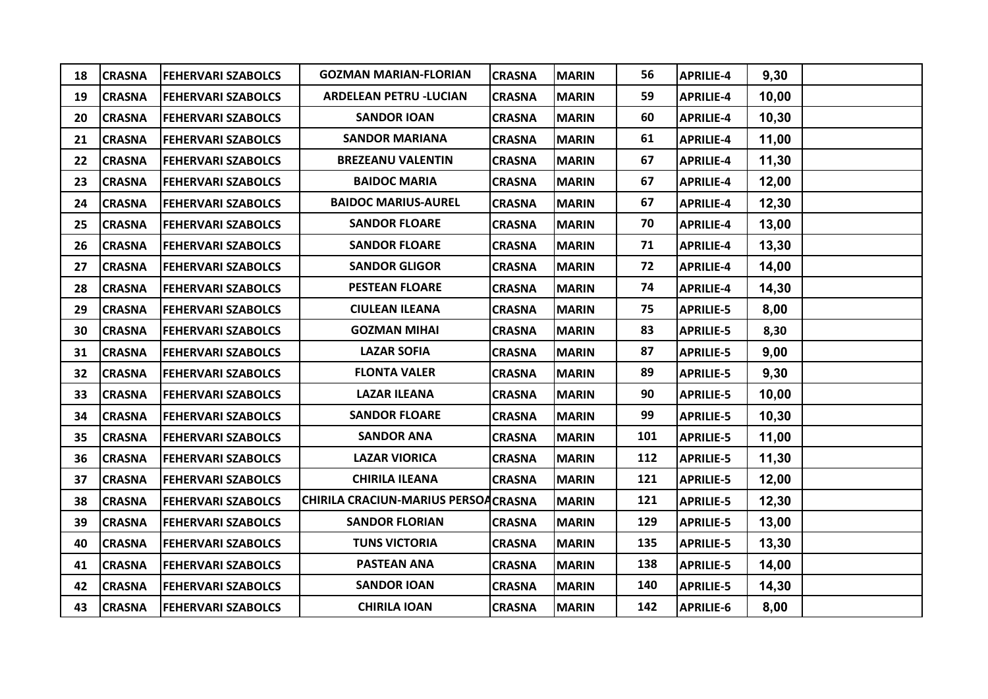| 18 | <b>CRASNA</b> | <b>FEHERVARI SZABOLCS</b> | <b>GOZMAN MARIAN-FLORIAN</b>        | <b>CRASNA</b> | <b>MARIN</b> | 56  | <b>APRILIE-4</b> | 9,30  |  |
|----|---------------|---------------------------|-------------------------------------|---------------|--------------|-----|------------------|-------|--|
| 19 | <b>CRASNA</b> | <b>FEHERVARI SZABOLCS</b> | <b>ARDELEAN PETRU -LUCIAN</b>       | <b>CRASNA</b> | <b>MARIN</b> | 59  | <b>APRILIE-4</b> | 10,00 |  |
| 20 | <b>CRASNA</b> | <b>FEHERVARI SZABOLCS</b> | <b>SANDOR IOAN</b>                  | <b>CRASNA</b> | <b>MARIN</b> | 60  | <b>APRILIE-4</b> | 10,30 |  |
| 21 | <b>CRASNA</b> | <b>FEHERVARI SZABOLCS</b> | <b>SANDOR MARIANA</b>               | <b>CRASNA</b> | <b>MARIN</b> | 61  | <b>APRILIE-4</b> | 11,00 |  |
| 22 | <b>CRASNA</b> | <b>FEHERVARI SZABOLCS</b> | <b>BREZEANU VALENTIN</b>            | <b>CRASNA</b> | <b>MARIN</b> | 67  | <b>APRILIE-4</b> | 11,30 |  |
| 23 | <b>CRASNA</b> | <b>FEHERVARI SZABOLCS</b> | <b>BAIDOC MARIA</b>                 | <b>CRASNA</b> | <b>MARIN</b> | 67  | <b>APRILIE-4</b> | 12,00 |  |
| 24 | <b>CRASNA</b> | <b>FEHERVARI SZABOLCS</b> | <b>BAIDOC MARIUS-AUREL</b>          | <b>CRASNA</b> | <b>MARIN</b> | 67  | <b>APRILIE-4</b> | 12,30 |  |
| 25 | <b>CRASNA</b> | <b>FEHERVARI SZABOLCS</b> | <b>SANDOR FLOARE</b>                | <b>CRASNA</b> | <b>MARIN</b> | 70  | <b>APRILIE-4</b> | 13,00 |  |
| 26 | <b>CRASNA</b> | <b>FEHERVARI SZABOLCS</b> | <b>SANDOR FLOARE</b>                | <b>CRASNA</b> | <b>MARIN</b> | 71  | <b>APRILIE-4</b> | 13,30 |  |
| 27 | <b>CRASNA</b> | <b>FEHERVARI SZABOLCS</b> | <b>SANDOR GLIGOR</b>                | <b>CRASNA</b> | <b>MARIN</b> | 72  | <b>APRILIE-4</b> | 14,00 |  |
| 28 | <b>CRASNA</b> | <b>FEHERVARI SZABOLCS</b> | <b>PESTEAN FLOARE</b>               | <b>CRASNA</b> | <b>MARIN</b> | 74  | <b>APRILIE-4</b> | 14,30 |  |
| 29 | <b>CRASNA</b> | <b>FEHERVARI SZABOLCS</b> | <b>CIULEAN ILEANA</b>               | <b>CRASNA</b> | <b>MARIN</b> | 75  | <b>APRILIE-5</b> | 8,00  |  |
| 30 | <b>CRASNA</b> | <b>FEHERVARI SZABOLCS</b> | <b>GOZMAN MIHAI</b>                 | <b>CRASNA</b> | <b>MARIN</b> | 83  | <b>APRILIE-5</b> | 8,30  |  |
| 31 | <b>CRASNA</b> | <b>FEHERVARI SZABOLCS</b> | <b>LAZAR SOFIA</b>                  | <b>CRASNA</b> | <b>MARIN</b> | 87  | <b>APRILIE-5</b> | 9,00  |  |
| 32 | <b>CRASNA</b> | <b>FEHERVARI SZABOLCS</b> | <b>FLONTA VALER</b>                 | <b>CRASNA</b> | <b>MARIN</b> | 89  | <b>APRILIE-5</b> | 9,30  |  |
| 33 | <b>CRASNA</b> | <b>FEHERVARI SZABOLCS</b> | <b>LAZAR ILEANA</b>                 | <b>CRASNA</b> | <b>MARIN</b> | 90  | <b>APRILIE-5</b> | 10,00 |  |
| 34 | <b>CRASNA</b> | <b>FEHERVARI SZABOLCS</b> | <b>SANDOR FLOARE</b>                | <b>CRASNA</b> | <b>MARIN</b> | 99  | <b>APRILIE-5</b> | 10,30 |  |
| 35 | <b>CRASNA</b> | <b>FEHERVARI SZABOLCS</b> | <b>SANDOR ANA</b>                   | <b>CRASNA</b> | <b>MARIN</b> | 101 | <b>APRILIE-5</b> | 11,00 |  |
| 36 | <b>CRASNA</b> | <b>FEHERVARI SZABOLCS</b> | <b>LAZAR VIORICA</b>                | <b>CRASNA</b> | <b>MARIN</b> | 112 | <b>APRILIE-5</b> | 11,30 |  |
| 37 | <b>CRASNA</b> | <b>FEHERVARI SZABOLCS</b> | <b>CHIRILA ILEANA</b>               | <b>CRASNA</b> | <b>MARIN</b> | 121 | <b>APRILIE-5</b> | 12,00 |  |
| 38 | <b>CRASNA</b> | <b>FEHERVARI SZABOLCS</b> | CHIRILA CRACIUN-MARIUS PERSOACRASNA |               | <b>MARIN</b> | 121 | <b>APRILIE-5</b> | 12,30 |  |
| 39 | <b>CRASNA</b> | <b>FEHERVARI SZABOLCS</b> | <b>SANDOR FLORIAN</b>               | <b>CRASNA</b> | <b>MARIN</b> | 129 | <b>APRILIE-5</b> | 13,00 |  |
| 40 | <b>CRASNA</b> | <b>FEHERVARI SZABOLCS</b> | <b>TUNS VICTORIA</b>                | <b>CRASNA</b> | <b>MARIN</b> | 135 | <b>APRILIE-5</b> | 13,30 |  |
| 41 | <b>CRASNA</b> | <b>FEHERVARI SZABOLCS</b> | <b>PASTEAN ANA</b>                  | <b>CRASNA</b> | <b>MARIN</b> | 138 | <b>APRILIE-5</b> | 14,00 |  |
| 42 | <b>CRASNA</b> | <b>FEHERVARI SZABOLCS</b> | <b>SANDOR IOAN</b>                  | <b>CRASNA</b> | <b>MARIN</b> | 140 | <b>APRILIE-5</b> | 14,30 |  |
| 43 | <b>CRASNA</b> | <b>FEHERVARI SZABOLCS</b> | <b>CHIRILA IOAN</b>                 | <b>CRASNA</b> | <b>MARIN</b> | 142 | <b>APRILIE-6</b> | 8,00  |  |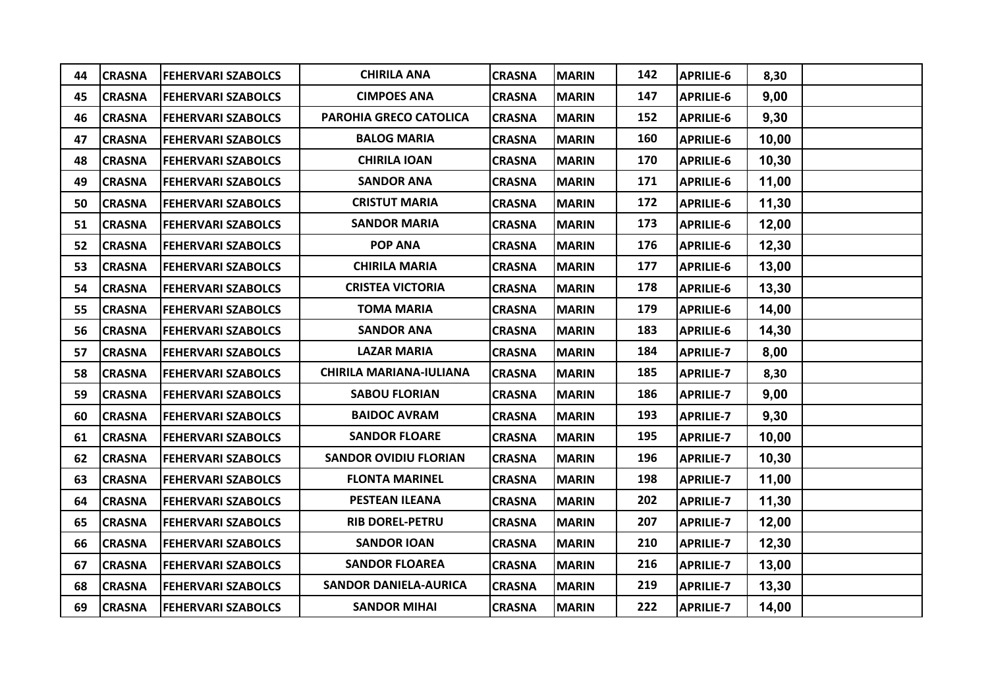| 44 | <b>CRASNA</b> | <b>FEHERVARI SZABOLCS</b> | <b>CHIRILA ANA</b>             | <b>CRASNA</b> | <b>MARIN</b> | 142 | <b>APRILIE-6</b> | 8,30  |  |
|----|---------------|---------------------------|--------------------------------|---------------|--------------|-----|------------------|-------|--|
| 45 | <b>CRASNA</b> | <b>FEHERVARI SZABOLCS</b> | <b>CIMPOES ANA</b>             | <b>CRASNA</b> | <b>MARIN</b> | 147 | <b>APRILIE-6</b> | 9,00  |  |
| 46 | <b>CRASNA</b> | <b>FEHERVARI SZABOLCS</b> | PAROHIA GRECO CATOLICA         | <b>CRASNA</b> | <b>MARIN</b> | 152 | <b>APRILIE-6</b> | 9,30  |  |
| 47 | <b>CRASNA</b> | <b>FEHERVARI SZABOLCS</b> | <b>BALOG MARIA</b>             | <b>CRASNA</b> | <b>MARIN</b> | 160 | <b>APRILIE-6</b> | 10,00 |  |
| 48 | <b>CRASNA</b> | <b>FEHERVARI SZABOLCS</b> | <b>CHIRILA IOAN</b>            | <b>CRASNA</b> | <b>MARIN</b> | 170 | <b>APRILIE-6</b> | 10,30 |  |
| 49 | <b>CRASNA</b> | <b>FEHERVARI SZABOLCS</b> | <b>SANDOR ANA</b>              | <b>CRASNA</b> | <b>MARIN</b> | 171 | <b>APRILIE-6</b> | 11,00 |  |
| 50 | <b>CRASNA</b> | <b>FEHERVARI SZABOLCS</b> | <b>CRISTUT MARIA</b>           | <b>CRASNA</b> | <b>MARIN</b> | 172 | <b>APRILIE-6</b> | 11,30 |  |
| 51 | <b>CRASNA</b> | <b>FEHERVARI SZABOLCS</b> | <b>SANDOR MARIA</b>            | <b>CRASNA</b> | <b>MARIN</b> | 173 | <b>APRILIE-6</b> | 12,00 |  |
| 52 | <b>CRASNA</b> | <b>FEHERVARI SZABOLCS</b> | <b>POP ANA</b>                 | <b>CRASNA</b> | <b>MARIN</b> | 176 | <b>APRILIE-6</b> | 12,30 |  |
| 53 | <b>CRASNA</b> | <b>FEHERVARI SZABOLCS</b> | <b>CHIRILA MARIA</b>           | <b>CRASNA</b> | <b>MARIN</b> | 177 | <b>APRILIE-6</b> | 13,00 |  |
| 54 | <b>CRASNA</b> | <b>FEHERVARI SZABOLCS</b> | <b>CRISTEA VICTORIA</b>        | <b>CRASNA</b> | <b>MARIN</b> | 178 | <b>APRILIE-6</b> | 13,30 |  |
| 55 | <b>CRASNA</b> | <b>FEHERVARI SZABOLCS</b> | <b>TOMA MARIA</b>              | <b>CRASNA</b> | <b>MARIN</b> | 179 | <b>APRILIE-6</b> | 14,00 |  |
| 56 | <b>CRASNA</b> | <b>FEHERVARI SZABOLCS</b> | <b>SANDOR ANA</b>              | <b>CRASNA</b> | <b>MARIN</b> | 183 | <b>APRILIE-6</b> | 14,30 |  |
| 57 | <b>CRASNA</b> | <b>FEHERVARI SZABOLCS</b> | <b>LAZAR MARIA</b>             | <b>CRASNA</b> | <b>MARIN</b> | 184 | <b>APRILIE-7</b> | 8,00  |  |
| 58 | <b>CRASNA</b> | <b>FEHERVARI SZABOLCS</b> | <b>CHIRILA MARIANA-IULIANA</b> | <b>CRASNA</b> | <b>MARIN</b> | 185 | <b>APRILIE-7</b> | 8,30  |  |
| 59 | <b>CRASNA</b> | <b>FEHERVARI SZABOLCS</b> | <b>SABOU FLORIAN</b>           | <b>CRASNA</b> | <b>MARIN</b> | 186 | <b>APRILIE-7</b> | 9,00  |  |
| 60 | <b>CRASNA</b> | <b>FEHERVARI SZABOLCS</b> | <b>BAIDOC AVRAM</b>            | <b>CRASNA</b> | <b>MARIN</b> | 193 | <b>APRILIE-7</b> | 9,30  |  |
| 61 | <b>CRASNA</b> | <b>FEHERVARI SZABOLCS</b> | <b>SANDOR FLOARE</b>           | <b>CRASNA</b> | <b>MARIN</b> | 195 | <b>APRILIE-7</b> | 10,00 |  |
| 62 | <b>CRASNA</b> | <b>FEHERVARI SZABOLCS</b> | <b>SANDOR OVIDIU FLORIAN</b>   | <b>CRASNA</b> | <b>MARIN</b> | 196 | <b>APRILIE-7</b> | 10,30 |  |
| 63 | <b>CRASNA</b> | <b>FEHERVARI SZABOLCS</b> | <b>FLONTA MARINEL</b>          | <b>CRASNA</b> | <b>MARIN</b> | 198 | <b>APRILIE-7</b> | 11,00 |  |
| 64 | <b>CRASNA</b> | <b>FEHERVARI SZABOLCS</b> | <b>PESTEAN ILEANA</b>          | <b>CRASNA</b> | <b>MARIN</b> | 202 | <b>APRILIE-7</b> | 11,30 |  |
| 65 | <b>CRASNA</b> | <b>FEHERVARI SZABOLCS</b> | <b>RIB DOREL-PETRU</b>         | <b>CRASNA</b> | <b>MARIN</b> | 207 | <b>APRILIE-7</b> | 12,00 |  |
| 66 | <b>CRASNA</b> | <b>FEHERVARI SZABOLCS</b> | <b>SANDOR IOAN</b>             | <b>CRASNA</b> | <b>MARIN</b> | 210 | <b>APRILIE-7</b> | 12,30 |  |
| 67 | <b>CRASNA</b> | <b>FEHERVARI SZABOLCS</b> | <b>SANDOR FLOAREA</b>          | <b>CRASNA</b> | <b>MARIN</b> | 216 | <b>APRILIE-7</b> | 13,00 |  |
| 68 | <b>CRASNA</b> | <b>FEHERVARI SZABOLCS</b> | <b>SANDOR DANIELA-AURICA</b>   | <b>CRASNA</b> | <b>MARIN</b> | 219 | <b>APRILIE-7</b> | 13,30 |  |
| 69 | <b>CRASNA</b> | <b>FEHERVARI SZABOLCS</b> | <b>SANDOR MIHAI</b>            | <b>CRASNA</b> | <b>MARIN</b> | 222 | <b>APRILIE-7</b> | 14,00 |  |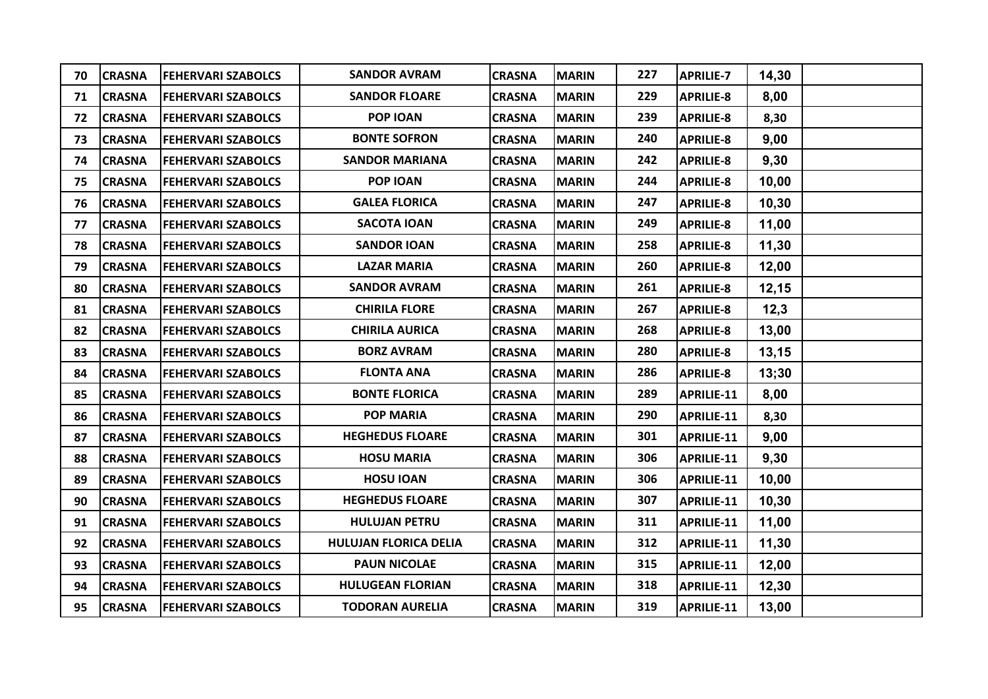| 70 | <b>CRASNA</b> | <b>FEHERVARI SZABOLCS</b> | <b>SANDOR AVRAM</b>          | <b>CRASNA</b> | <b>MARIN</b> | 227 | <b>APRILIE-7</b>  | 14,30 |  |
|----|---------------|---------------------------|------------------------------|---------------|--------------|-----|-------------------|-------|--|
| 71 | <b>CRASNA</b> | <b>FEHERVARI SZABOLCS</b> | <b>SANDOR FLOARE</b>         | <b>CRASNA</b> | <b>MARIN</b> | 229 | <b>APRILIE-8</b>  | 8,00  |  |
| 72 | <b>CRASNA</b> | <b>FEHERVARI SZABOLCS</b> | POP IOAN                     | <b>CRASNA</b> | <b>MARIN</b> | 239 | <b>APRILIE-8</b>  | 8,30  |  |
| 73 | <b>CRASNA</b> | <b>FEHERVARI SZABOLCS</b> | <b>BONTE SOFRON</b>          | <b>CRASNA</b> | <b>MARIN</b> | 240 | <b>APRILIE-8</b>  | 9,00  |  |
| 74 | <b>CRASNA</b> | <b>FEHERVARI SZABOLCS</b> | <b>SANDOR MARIANA</b>        | <b>CRASNA</b> | <b>MARIN</b> | 242 | <b>APRILIE-8</b>  | 9,30  |  |
| 75 | <b>CRASNA</b> | <b>FEHERVARI SZABOLCS</b> | POP IOAN                     | <b>CRASNA</b> | <b>MARIN</b> | 244 | <b>APRILIE-8</b>  | 10,00 |  |
| 76 | <b>CRASNA</b> | <b>FEHERVARI SZABOLCS</b> | <b>GALEA FLORICA</b>         | <b>CRASNA</b> | <b>MARIN</b> | 247 | <b>APRILIE-8</b>  | 10,30 |  |
| 77 | <b>CRASNA</b> | <b>FEHERVARI SZABOLCS</b> | <b>SACOTA IOAN</b>           | <b>CRASNA</b> | <b>MARIN</b> | 249 | <b>APRILIE-8</b>  | 11,00 |  |
| 78 | <b>CRASNA</b> | <b>FEHERVARI SZABOLCS</b> | <b>SANDOR IOAN</b>           | <b>CRASNA</b> | <b>MARIN</b> | 258 | <b>APRILIE-8</b>  | 11,30 |  |
| 79 | <b>CRASNA</b> | <b>FEHERVARI SZABOLCS</b> | <b>LAZAR MARIA</b>           | <b>CRASNA</b> | <b>MARIN</b> | 260 | <b>APRILIE-8</b>  | 12,00 |  |
| 80 | <b>CRASNA</b> | <b>FEHERVARI SZABOLCS</b> | <b>SANDOR AVRAM</b>          | <b>CRASNA</b> | <b>MARIN</b> | 261 | <b>APRILIE-8</b>  | 12,15 |  |
| 81 | <b>CRASNA</b> | <b>FEHERVARI SZABOLCS</b> | <b>CHIRILA FLORE</b>         | <b>CRASNA</b> | <b>MARIN</b> | 267 | <b>APRILIE-8</b>  | 12,3  |  |
| 82 | <b>CRASNA</b> | <b>FEHERVARI SZABOLCS</b> | <b>CHIRILA AURICA</b>        | <b>CRASNA</b> | <b>MARIN</b> | 268 | <b>APRILIE-8</b>  | 13,00 |  |
| 83 | <b>CRASNA</b> | <b>FEHERVARI SZABOLCS</b> | <b>BORZ AVRAM</b>            | <b>CRASNA</b> | <b>MARIN</b> | 280 | <b>APRILIE-8</b>  | 13,15 |  |
| 84 | <b>CRASNA</b> | <b>FEHERVARI SZABOLCS</b> | <b>FLONTA ANA</b>            | <b>CRASNA</b> | <b>MARIN</b> | 286 | <b>APRILIE-8</b>  | 13;30 |  |
| 85 | <b>CRASNA</b> | <b>FEHERVARI SZABOLCS</b> | <b>BONTE FLORICA</b>         | <b>CRASNA</b> | <b>MARIN</b> | 289 | <b>APRILIE-11</b> | 8,00  |  |
| 86 | <b>CRASNA</b> | <b>FEHERVARI SZABOLCS</b> | <b>POP MARIA</b>             | <b>CRASNA</b> | <b>MARIN</b> | 290 | APRILIE-11        | 8,30  |  |
| 87 | <b>CRASNA</b> | <b>FEHERVARI SZABOLCS</b> | <b>HEGHEDUS FLOARE</b>       | <b>CRASNA</b> | <b>MARIN</b> | 301 | <b>APRILIE-11</b> | 9,00  |  |
| 88 | <b>CRASNA</b> | <b>FEHERVARI SZABOLCS</b> | <b>HOSU MARIA</b>            | <b>CRASNA</b> | <b>MARIN</b> | 306 | <b>APRILIE-11</b> | 9,30  |  |
| 89 | <b>CRASNA</b> | <b>FEHERVARI SZABOLCS</b> | <b>HOSU IOAN</b>             | <b>CRASNA</b> | <b>MARIN</b> | 306 | <b>APRILIE-11</b> | 10,00 |  |
| 90 | <b>CRASNA</b> | <b>FEHERVARI SZABOLCS</b> | <b>HEGHEDUS FLOARE</b>       | <b>CRASNA</b> | <b>MARIN</b> | 307 | APRILIE-11        | 10,30 |  |
| 91 | <b>CRASNA</b> | <b>FEHERVARI SZABOLCS</b> | <b>HULUJAN PETRU</b>         | <b>CRASNA</b> | <b>MARIN</b> | 311 | <b>APRILIE-11</b> | 11,00 |  |
| 92 | <b>CRASNA</b> | <b>FEHERVARI SZABOLCS</b> | <b>HULUJAN FLORICA DELIA</b> | <b>CRASNA</b> | <b>MARIN</b> | 312 | <b>APRILIE-11</b> | 11,30 |  |
| 93 | <b>CRASNA</b> | <b>FEHERVARI SZABOLCS</b> | <b>PAUN NICOLAE</b>          | <b>CRASNA</b> | <b>MARIN</b> | 315 | APRILIE-11        | 12,00 |  |
| 94 | <b>CRASNA</b> | <b>FEHERVARI SZABOLCS</b> | <b>HULUGEAN FLORIAN</b>      | <b>CRASNA</b> | <b>MARIN</b> | 318 | APRILIE-11        | 12,30 |  |
| 95 | <b>CRASNA</b> | <b>FEHERVARI SZABOLCS</b> | <b>TODORAN AURELIA</b>       | <b>CRASNA</b> | <b>MARIN</b> | 319 | <b>APRILIE-11</b> | 13,00 |  |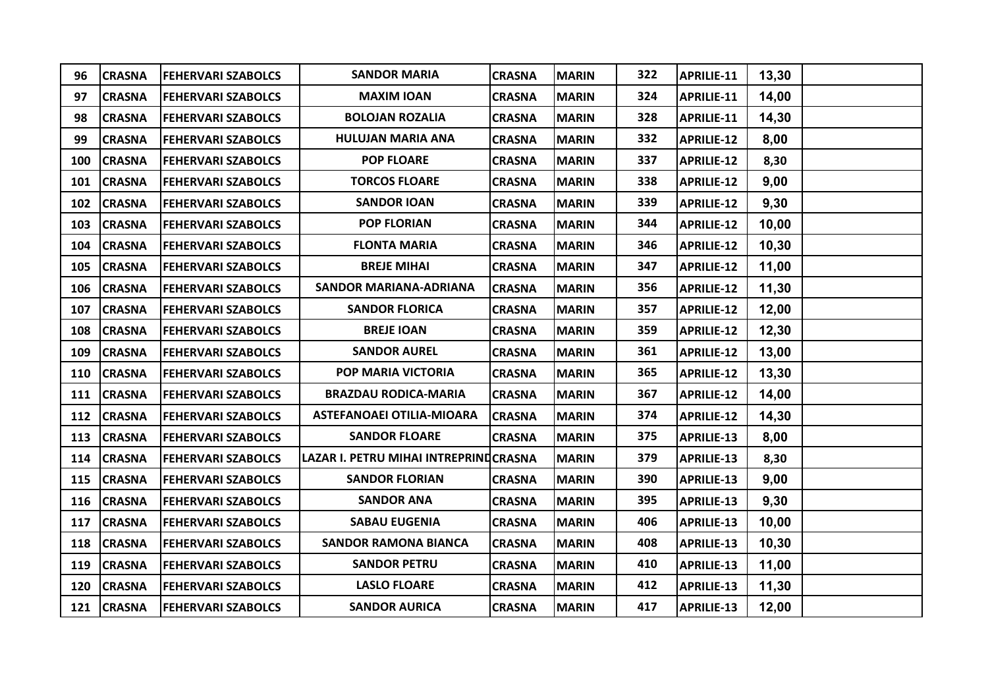| 96  | <b>CRASNA</b> | <b>FEHERVARI SZABOLCS</b> | <b>SANDOR MARIA</b>                   | <b>CRASNA</b> | <b>MARIN</b> | 322 | APRILIE-11        | 13,30  |  |
|-----|---------------|---------------------------|---------------------------------------|---------------|--------------|-----|-------------------|--------|--|
| 97  | <b>CRASNA</b> | <b>FEHERVARI SZABOLCS</b> | <b>MAXIM IOAN</b>                     | <b>CRASNA</b> | <b>MARIN</b> | 324 | APRILIE-11        | 14,00  |  |
| 98  | <b>CRASNA</b> | <b>FEHERVARI SZABOLCS</b> | <b>BOLOJAN ROZALIA</b>                | <b>CRASNA</b> | <b>MARIN</b> | 328 | <b>APRILIE-11</b> | 14,30  |  |
| 99  | <b>CRASNA</b> | <b>FEHERVARI SZABOLCS</b> | <b>HULUJAN MARIA ANA</b>              | <b>CRASNA</b> | <b>MARIN</b> | 332 | <b>APRILIE-12</b> | 8,00   |  |
| 100 | <b>CRASNA</b> | <b>FEHERVARI SZABOLCS</b> | <b>POP FLOARE</b>                     | <b>CRASNA</b> | <b>MARIN</b> | 337 | APRILIE-12        | 8,30   |  |
| 101 | <b>CRASNA</b> | <b>FEHERVARI SZABOLCS</b> | <b>TORCOS FLOARE</b>                  | <b>CRASNA</b> | <b>MARIN</b> | 338 | <b>APRILIE-12</b> | 9,00   |  |
| 102 | <b>CRASNA</b> | <b>FEHERVARI SZABOLCS</b> | <b>SANDOR IOAN</b>                    | <b>CRASNA</b> | <b>MARIN</b> | 339 | <b>APRILIE-12</b> | 9,30   |  |
| 103 | <b>CRASNA</b> | <b>FEHERVARI SZABOLCS</b> | <b>POP FLORIAN</b>                    | <b>CRASNA</b> | <b>MARIN</b> | 344 | <b>APRILIE-12</b> | 10,00  |  |
| 104 | <b>CRASNA</b> | <b>FEHERVARI SZABOLCS</b> | <b>FLONTA MARIA</b>                   | <b>CRASNA</b> | <b>MARIN</b> | 346 | <b>APRILIE-12</b> | 10,30  |  |
| 105 | <b>CRASNA</b> | <b>FEHERVARI SZABOLCS</b> | <b>BREJE MIHAI</b>                    | <b>CRASNA</b> | <b>MARIN</b> | 347 | APRILIE-12        | 11,00  |  |
| 106 | <b>CRASNA</b> | <b>FEHERVARI SZABOLCS</b> | <b>SANDOR MARIANA-ADRIANA</b>         | <b>CRASNA</b> | <b>MARIN</b> | 356 | <b>APRILIE-12</b> | 11,30  |  |
| 107 | <b>CRASNA</b> | <b>FEHERVARI SZABOLCS</b> | <b>SANDOR FLORICA</b>                 | <b>CRASNA</b> | <b>MARIN</b> | 357 | <b>APRILIE-12</b> | 12,00  |  |
| 108 | <b>CRASNA</b> | <b>FEHERVARI SZABOLCS</b> | <b>BREJE IOAN</b>                     | <b>CRASNA</b> | <b>MARIN</b> | 359 | <b>APRILIE-12</b> | 12,30  |  |
| 109 | <b>CRASNA</b> | <b>FEHERVARI SZABOLCS</b> | <b>SANDOR AUREL</b>                   | <b>CRASNA</b> | <b>MARIN</b> | 361 | APRILIE-12        | 13,00  |  |
| 110 | <b>CRASNA</b> | <b>FEHERVARI SZABOLCS</b> | POP MARIA VICTORIA                    | <b>CRASNA</b> | <b>MARIN</b> | 365 | <b>APRILIE-12</b> | 13,30  |  |
|     | 111 CRASNA    | <b>FEHERVARI SZABOLCS</b> | <b>BRAZDAU RODICA-MARIA</b>           | <b>CRASNA</b> | <b>MARIN</b> | 367 | <b>APRILIE-12</b> | 14,00  |  |
| 112 | <b>CRASNA</b> | <b>FEHERVARI SZABOLCS</b> | <b>ASTEFANOAEI OTILIA-MIOARA</b>      | <b>CRASNA</b> | <b>MARIN</b> | 374 | <b>APRILIE-12</b> | 14,30  |  |
| 113 | <b>CRASNA</b> | <b>FEHERVARI SZABOLCS</b> | <b>SANDOR FLOARE</b>                  | <b>CRASNA</b> | <b>MARIN</b> | 375 | APRILIE-13        | 8,00   |  |
|     | 114 CRASNA    | <b>FEHERVARI SZABOLCS</b> | LAZAR I. PETRU MIHAI INTREPRINDCRASNA |               | <b>MARIN</b> | 379 | <b>APRILIE-13</b> | 8,30   |  |
|     | 115 CRASNA    | <b>FEHERVARI SZABOLCS</b> | <b>SANDOR FLORIAN</b>                 | <b>CRASNA</b> | <b>MARIN</b> | 390 | <b>APRILIE-13</b> | 9,00   |  |
| 116 | <b>CRASNA</b> | <b>FEHERVARI SZABOLCS</b> | <b>SANDOR ANA</b>                     | <b>CRASNA</b> | <b>MARIN</b> | 395 | APRILIE-13        | 9,30   |  |
| 117 | <b>CRASNA</b> | <b>FEHERVARI SZABOLCS</b> | <b>SABAU EUGENIA</b>                  | <b>CRASNA</b> | <b>MARIN</b> | 406 | <b>APRILIE-13</b> | 10,00  |  |
|     | 118 CRASNA    | <b>FEHERVARI SZABOLCS</b> | <b>SANDOR RAMONA BIANCA</b>           | <b>CRASNA</b> | <b>MARIN</b> | 408 | APRILIE-13        | 10, 30 |  |
| 119 | <b>CRASNA</b> | <b>FEHERVARI SZABOLCS</b> | <b>SANDOR PETRU</b>                   | <b>CRASNA</b> | <b>MARIN</b> | 410 | APRILIE-13        | 11,00  |  |
| 120 | <b>CRASNA</b> | <b>FEHERVARI SZABOLCS</b> | <b>LASLO FLOARE</b>                   | <b>CRASNA</b> | <b>MARIN</b> | 412 | APRILIE-13        | 11,30  |  |
|     | 121 CRASNA    | <b>FEHERVARI SZABOLCS</b> | <b>SANDOR AURICA</b>                  | <b>CRASNA</b> | <b>MARIN</b> | 417 | APRILIE-13        | 12,00  |  |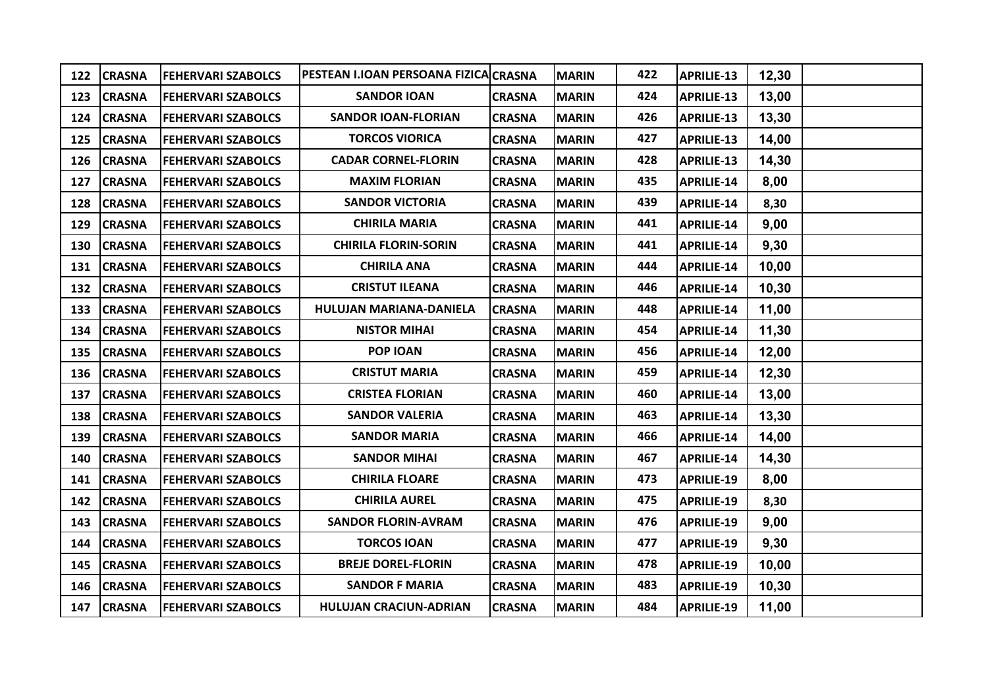| 122 | <b>CRASNA</b> | <b>FEHERVARI SZABOLCS</b> | PESTEAN I.IOAN PERSOANA FIZICA CRASNA |               | <b>MARIN</b> | 422 | APRILIE-13        | 12,30 |  |
|-----|---------------|---------------------------|---------------------------------------|---------------|--------------|-----|-------------------|-------|--|
| 123 | <b>CRASNA</b> | <b>FEHERVARI SZABOLCS</b> | <b>SANDOR IOAN</b>                    | <b>CRASNA</b> | <b>MARIN</b> | 424 | APRILIE-13        | 13,00 |  |
| 124 | <b>CRASNA</b> | <b>FEHERVARI SZABOLCS</b> | <b>SANDOR IOAN-FLORIAN</b>            | <b>CRASNA</b> | <b>MARIN</b> | 426 | APRILIE-13        | 13,30 |  |
| 125 | <b>CRASNA</b> | <b>FEHERVARI SZABOLCS</b> | <b>TORCOS VIORICA</b>                 | <b>CRASNA</b> | <b>MARIN</b> | 427 | <b>APRILIE-13</b> | 14,00 |  |
|     | 126 CRASNA    | <b>FEHERVARI SZABOLCS</b> | <b>CADAR CORNEL-FLORIN</b>            | <b>CRASNA</b> | <b>MARIN</b> | 428 | APRILIE-13        | 14,30 |  |
| 127 | <b>CRASNA</b> | <b>FEHERVARI SZABOLCS</b> | <b>MAXIM FLORIAN</b>                  | <b>CRASNA</b> | <b>MARIN</b> | 435 | <b>APRILIE-14</b> | 8,00  |  |
| 128 | <b>CRASNA</b> | <b>FEHERVARI SZABOLCS</b> | <b>SANDOR VICTORIA</b>                | <b>CRASNA</b> | <b>MARIN</b> | 439 | <b>APRILIE-14</b> | 8,30  |  |
| 129 | <b>CRASNA</b> | <b>FEHERVARI SZABOLCS</b> | <b>CHIRILA MARIA</b>                  | <b>CRASNA</b> | <b>MARIN</b> | 441 | <b>APRILIE-14</b> | 9,00  |  |
| 130 | <b>CRASNA</b> | <b>FEHERVARI SZABOLCS</b> | <b>CHIRILA FLORIN-SORIN</b>           | <b>CRASNA</b> | <b>MARIN</b> | 441 | <b>APRILIE-14</b> | 9,30  |  |
| 131 | <b>CRASNA</b> | <b>FEHERVARI SZABOLCS</b> | <b>CHIRILA ANA</b>                    | <b>CRASNA</b> | <b>MARIN</b> | 444 | <b>APRILIE-14</b> | 10,00 |  |
| 132 | <b>CRASNA</b> | <b>FEHERVARI SZABOLCS</b> | <b>CRISTUT ILEANA</b>                 | <b>CRASNA</b> | <b>MARIN</b> | 446 | <b>APRILIE-14</b> | 10,30 |  |
|     | 133 CRASNA    | <b>FEHERVARI SZABOLCS</b> | HULUJAN MARIANA-DANIELA               | <b>CRASNA</b> | <b>MARIN</b> | 448 | <b>APRILIE-14</b> | 11,00 |  |
| 134 | <b>CRASNA</b> | <b>FEHERVARI SZABOLCS</b> | <b>NISTOR MIHAI</b>                   | <b>CRASNA</b> | <b>MARIN</b> | 454 | APRILIE-14        | 11,30 |  |
| 135 | <b>CRASNA</b> | <b>FEHERVARI SZABOLCS</b> | POP IOAN                              | <b>CRASNA</b> | <b>MARIN</b> | 456 | <b>APRILIE-14</b> | 12,00 |  |
| 136 | <b>CRASNA</b> | <b>FEHERVARI SZABOLCS</b> | <b>CRISTUT MARIA</b>                  | <b>CRASNA</b> | <b>MARIN</b> | 459 | <b>APRILIE-14</b> | 12,30 |  |
| 137 | <b>CRASNA</b> | <b>FEHERVARI SZABOLCS</b> | <b>CRISTEA FLORIAN</b>                | <b>CRASNA</b> | <b>MARIN</b> | 460 | <b>APRILIE-14</b> | 13,00 |  |
| 138 | <b>CRASNA</b> | <b>FEHERVARI SZABOLCS</b> | <b>SANDOR VALERIA</b>                 | <b>CRASNA</b> | <b>MARIN</b> | 463 | APRILIE-14        | 13,30 |  |
| 139 | <b>CRASNA</b> | <b>FEHERVARI SZABOLCS</b> | <b>SANDOR MARIA</b>                   | <b>CRASNA</b> | <b>MARIN</b> | 466 | <b>APRILIE-14</b> | 14,00 |  |
| 140 | <b>CRASNA</b> | <b>FEHERVARI SZABOLCS</b> | <b>SANDOR MIHAI</b>                   | <b>CRASNA</b> | <b>MARIN</b> | 467 | APRILIE-14        | 14,30 |  |
|     | 141 CRASNA    | <b>FEHERVARI SZABOLCS</b> | <b>CHIRILA FLOARE</b>                 | <b>CRASNA</b> | <b>MARIN</b> | 473 | <b>APRILIE-19</b> | 8,00  |  |
| 142 | <b>CRASNA</b> | <b>FEHERVARI SZABOLCS</b> | <b>CHIRILA AUREL</b>                  | <b>CRASNA</b> | <b>MARIN</b> | 475 | <b>APRILIE-19</b> | 8,30  |  |
| 143 | <b>CRASNA</b> | <b>FEHERVARI SZABOLCS</b> | <b>SANDOR FLORIN-AVRAM</b>            | <b>CRASNA</b> | <b>MARIN</b> | 476 | APRILIE-19        | 9,00  |  |
| 144 | <b>CRASNA</b> | <b>FEHERVARI SZABOLCS</b> | <b>TORCOS IOAN</b>                    | <b>CRASNA</b> | <b>MARIN</b> | 477 | <b>APRILIE-19</b> | 9,30  |  |
| 145 | <b>CRASNA</b> | <b>FEHERVARI SZABOLCS</b> | <b>BREJE DOREL-FLORIN</b>             | <b>CRASNA</b> | <b>MARIN</b> | 478 | <b>APRILIE-19</b> | 10,00 |  |
| 146 | <b>CRASNA</b> | <b>FEHERVARI SZABOLCS</b> | <b>SANDOR F MARIA</b>                 | <b>CRASNA</b> | <b>MARIN</b> | 483 | <b>APRILIE-19</b> | 10,30 |  |
|     | 147 CRASNA    | <b>FEHERVARI SZABOLCS</b> | <b>HULUJAN CRACIUN-ADRIAN</b>         | <b>CRASNA</b> | <b>MARIN</b> | 484 | <b>APRILIE-19</b> | 11,00 |  |